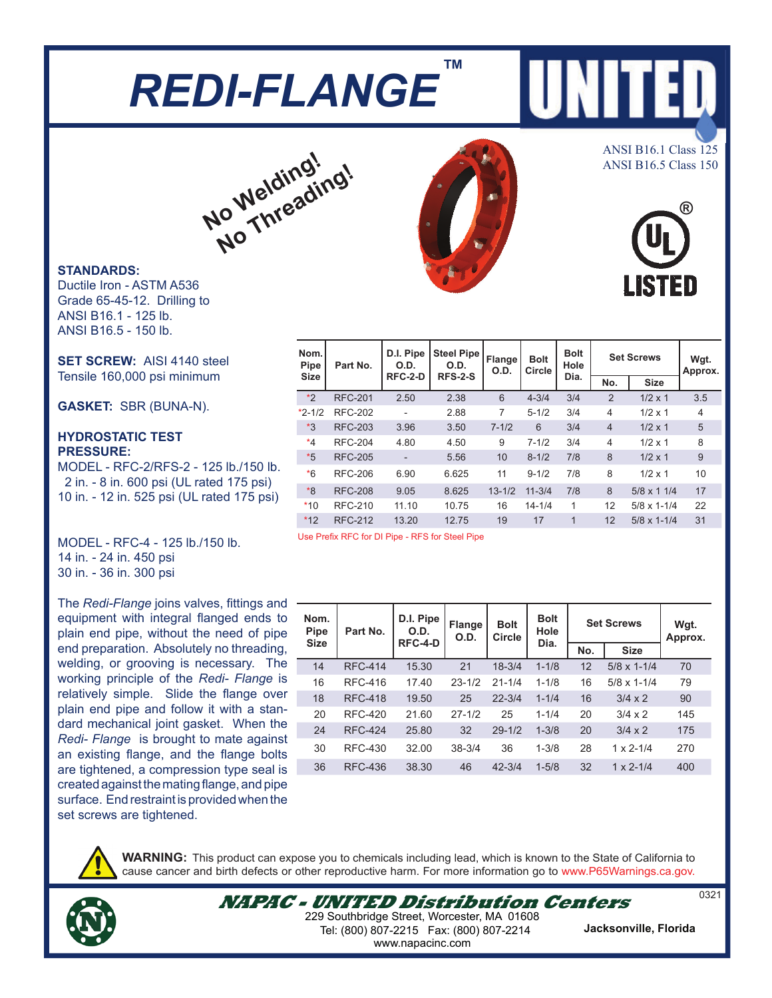### *REDI-FLANGE* **™**

# **No Welding!** Ne<sup>lding</sup>ing!

#### **STANDARDS:**

Ductile Iron - ASTM A536 Grade 65-45-12. Drilling to ANSI B16.1 - 125 lb. ANSI B16.5 - 150 lb.

**SET SCREW:** AISI 4140 steel Tensile 160,000 psi minimum

**GASKET:** SBR (BUNA-N).

#### **HYDROSTATIC TEST PRESSURE:**

MODEL - RFC-2/RFS-2 - 125 lb./150 lb. 2 in. - 8 in. 600 psi (UL rated 175 psi) 10 in. - 12 in. 525 psi (UL rated 175 psi)

MODEL - RFC-4 - 125 lb./150 lb. 14 in. - 24 in. 450 psi 30 in. - 36 in. 300 psi

The *Redi-Flange* joins valves, fittings and equipment with integral flanged ends to plain end pipe, without the need of pipe end preparation. Absolutely no threading, welding, or grooving is necessary. The working principle of the *Redi- Flange* is relatively simple. Slide the flange over plain end pipe and follow it with a standard mechanical joint gasket. When the *Redi- Flange* is brought to mate against an existing flange, and the flange bolts are tightened, a compression type seal is created against the mating flange, and pipe surface. End restraint is provided when the set screws are tightened.



**WARNING:** This product can expose you to chemicals including lead, which is known to the State of California to cause cancer and birth defects or other reproductive harm. For more information go to www.P65Warnings.ca.gov.



**Nom. Pipe Size Part No. D.I. Pipe O.D. RFC-2-D Steel Pipe O.D. RFS-2-S Flange O.D. Bolt Circle Bolt Hole Dia.** Set Screws | Wgt. **Approx. No. Size** \*2 RFC-201 2.50 2.38 6 4-3/4 3/4 2 1/2 x 1 3.5 \*2-1/2 RFC-202 - 2.88 7 5-1/2 3/4 4 1/2 x 1 4 \*3 RFC-203 3.96 3.50 7-1/2 6 3/4 4 1/2 x 1 5 \*4 RFC-204 4.80 4.50 9 7-1/2 3/4 4 1/2 x 1 8 \*5 RFC-205 - 5.56 10 8-1/2 7/8 8 1/2 x 1 9 \*6 RFC-206 6.90 6.625 11 9-1/2 7/8 8 1/2 x 1 10 \*8 RFC-208 9.05 8.625 13-1/2 11-3/4 7/8 8 5/8 x 1 1/4 17 \*10 RFC-210 11.10 10.75 16 14-1/4 1 12 5/8 x 1-1/4 22 \*12 RFC-212 13.20 12.75 19 17 1 12 5/8 x 1-1/4 31

Use Prefix RFC for DI Pipe - RFS for Steel Pipe

|  | Nom.<br><b>Pipe</b> | Part No.       | D.I. Pipe<br>O.D.<br>RFC-4-D | <b>Flange</b><br>O.D. | <b>Bolt</b><br>Circle | <b>Bolt</b><br>Hole<br>Dia. | <b>Set Screws</b> | Wgt.                 |         |
|--|---------------------|----------------|------------------------------|-----------------------|-----------------------|-----------------------------|-------------------|----------------------|---------|
|  | <b>Size</b>         |                |                              |                       |                       |                             | No.               | <b>Size</b>          | Approx. |
|  | 14                  | <b>RFC-414</b> | 15.30                        | 21                    | $18 - 3/4$            | $1 - 1/8$                   | 12                | $5/8 \times 1 - 1/4$ | 70      |
|  | 16                  | <b>RFC-416</b> | 17.40                        | $23 - 1/2$            | $21 - 1/4$            | $1 - 1/8$                   | 16                | $5/8 \times 1 - 1/4$ | 79      |
|  | 18                  | <b>RFC-418</b> | 19.50                        | 25                    | $22 - 3/4$            | $1 - 1/4$                   | 16                | $3/4 \times 2$       | 90      |
|  | 20                  | <b>RFC-420</b> | 21.60                        | $27 - 1/2$            | 25                    | $1 - 1/4$                   | 20                | $3/4 \times 2$       | 145     |
|  | 24                  | <b>RFC-424</b> | 25.80                        | 32                    | $29 - 1/2$            | $1 - 3/8$                   | 20                | $3/4 \times 2$       | 175     |
|  | 30                  | <b>RFC-430</b> | 32.00                        | $38 - 3/4$            | 36                    | $1 - 3/8$                   | 28                | $1 \times 2 - 1/4$   | 270     |
|  | 36                  | RFC-436        | 38.30                        | 46                    | $42 - 3/4$            | $1 - 5/8$                   | 32                | $1 \times 2 - 1/4$   | 400     |
|  |                     |                |                              |                       |                       |                             |                   |                      |         |

ANSI B16.1 Class 125 ANSI B16.5 Class 150

15 M



0321

**NAPAC - UNITED Distribution Centers** 229 Southbridge Street, Worcester, MA 01608 Tel: (800) 807-2215 Fax: (800) 807-2214

**Jacksonville, Florida**

www.napacinc.com